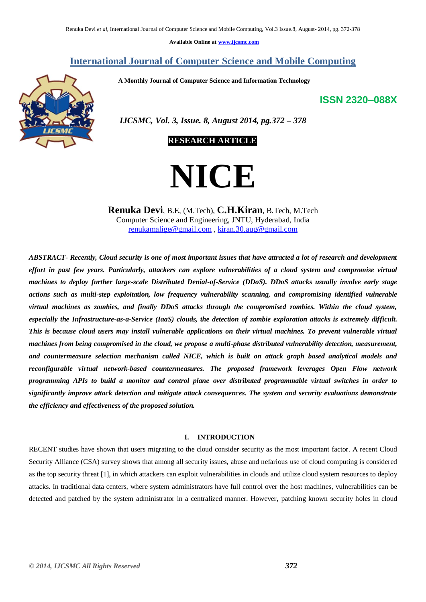**Available Online at [www.ijcsmc.com](http://www.ijcsmc.com/)**

# **International Journal of Computer Science and Mobile Computing**

 **A Monthly Journal of Computer Science and Information Technology**

# **ISSN 2320–088X**



 *IJCSMC, Vol. 3, Issue. 8, August 2014, pg.372 – 378*

# **RESEARCH ARTICLE**

# **NICE**

**Renuka Devi**, B.E, (M.Tech), **C.H.Kiran**, B.Tech, M.Tech Computer Science and Engineering, JNTU, Hyderabad, India [renukamalige@gmail.com](mailto:renukamalige@gmail.com) , [kiran.30.aug@gmail.com](mailto:kiran.30.aug@gmail.com)

*ABSTRACT- Recently, Cloud security is one of most important issues that have attracted a lot of research and development effort in past few years. Particularly, attackers can explore vulnerabilities of a cloud system and compromise virtual machines to deploy further large-scale Distributed Denial-of-Service (DDoS). DDoS attacks usually involve early stage actions such as multi-step exploitation, low frequency vulnerability scanning, and compromising identified vulnerable virtual machines as zombies, and finally DDoS attacks through the compromised zombies. Within the cloud system, especially the Infrastructure-as-a-Service (IaaS) clouds, the detection of zombie exploration attacks is extremely difficult. This is because cloud users may install vulnerable applications on their virtual machines. To prevent vulnerable virtual machines from being compromised in the cloud, we propose a multi-phase distributed vulnerability detection, measurement, and countermeasure selection mechanism called NICE, which is built on attack graph based analytical models and reconfigurable virtual network-based countermeasures. The proposed framework leverages Open Flow network programming APIs to build a monitor and control plane over distributed programmable virtual switches in order to significantly improve attack detection and mitigate attack consequences. The system and security evaluations demonstrate the efficiency and effectiveness of the proposed solution.*

# **I. INTRODUCTION**

RECENT studies have shown that users migrating to the cloud consider security as the most important factor. A recent Cloud Security Alliance (CSA) survey shows that among all security issues, abuse and nefarious use of cloud computing is considered as the top security threat [1], in which attackers can exploit vulnerabilities in clouds and utilize cloud system resources to deploy attacks. In traditional data centers, where system administrators have full control over the host machines, vulnerabilities can be detected and patched by the system administrator in a centralized manner. However, patching known security holes in cloud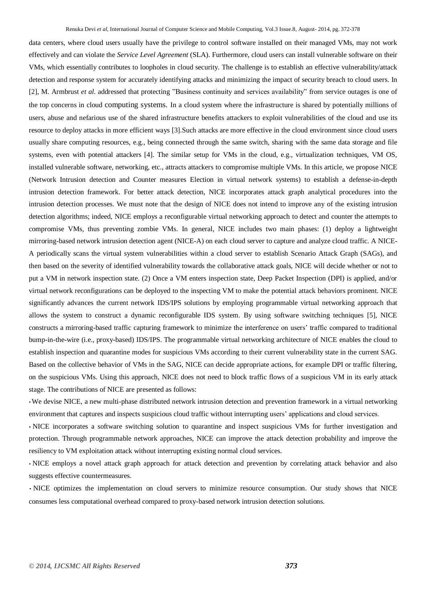data centers, where cloud users usually have the privilege to control software installed on their managed VMs, may not work effectively and can violate the *Service Level Agreement* (SLA). Furthermore, cloud users can install vulnerable software on their VMs, which essentially contributes to loopholes in cloud security. The challenge is to establish an effective vulnerability/attack detection and response system for accurately identifying attacks and minimizing the impact of security breach to cloud users. In [2], M. Armbrust *et al*. addressed that protecting "Business continuity and services availability" from service outages is one of the top concerns in cloud computing systems. In a cloud system where the infrastructure is shared by potentially millions of users, abuse and nefarious use of the shared infrastructure benefits attackers to exploit vulnerabilities of the cloud and use its resource to deploy attacks in more efficient ways [3].Such attacks are more effective in the cloud environment since cloud users usually share computing resources, e.g., being connected through the same switch, sharing with the same data storage and file systems, even with potential attackers [4]. The similar setup for VMs in the cloud, e.g., virtualization techniques, VM OS, installed vulnerable software, networking, etc., attracts attackers to compromise multiple VMs. In this article, we propose NICE (Network Intrusion detection and Counter measures Election in virtual network systems) to establish a defense-in-depth intrusion detection framework. For better attack detection, NICE incorporates attack graph analytical procedures into the intrusion detection processes. We must note that the design of NICE does not intend to improve any of the existing intrusion detection algorithms; indeed, NICE employs a reconfigurable virtual networking approach to detect and counter the attempts to compromise VMs, thus preventing zombie VMs. In general, NICE includes two main phases: (1) deploy a lightweight mirroring-based network intrusion detection agent (NICE-A) on each cloud server to capture and analyze cloud traffic. A NICE-A periodically scans the virtual system vulnerabilities within a cloud server to establish Scenario Attack Graph (SAGs), and then based on the severity of identified vulnerability towards the collaborative attack goals, NICE will decide whether or not to put a VM in network inspection state. (2) Once a VM enters inspection state, Deep Packet Inspection (DPI) is applied, and/or virtual network reconfigurations can be deployed to the inspecting VM to make the potential attack behaviors prominent. NICE significantly advances the current network IDS/IPS solutions by employing programmable virtual networking approach that allows the system to construct a dynamic reconfigurable IDS system. By using software switching techniques [5], NICE constructs a mirroring-based traffic capturing framework to minimize the interference on users' traffic compared to traditional bump-in-the-wire (i.e., proxy-based) IDS/IPS. The programmable virtual networking architecture of NICE enables the cloud to establish inspection and quarantine modes for suspicious VMs according to their current vulnerability state in the current SAG. Based on the collective behavior of VMs in the SAG, NICE can decide appropriate actions, for example DPI or traffic filtering, on the suspicious VMs. Using this approach, NICE does not need to block traffic flows of a suspicious VM in its early attack stage. The contributions of NICE are presented as follows:

*•* We devise NICE, a new multi-phase distributed network intrusion detection and prevention framework in a virtual networking environment that captures and inspects suspicious cloud traffic without interrupting users' applications and cloud services.

*•* NICE incorporates a software switching solution to quarantine and inspect suspicious VMs for further investigation and protection. Through programmable network approaches, NICE can improve the attack detection probability and improve the resiliency to VM exploitation attack without interrupting existing normal cloud services.

*•* NICE employs a novel attack graph approach for attack detection and prevention by correlating attack behavior and also suggests effective countermeasures.

• NICE optimizes the implementation on cloud servers to minimize resource consumption. Our study shows that NICE consumes less computational overhead compared to proxy-based network intrusion detection solutions.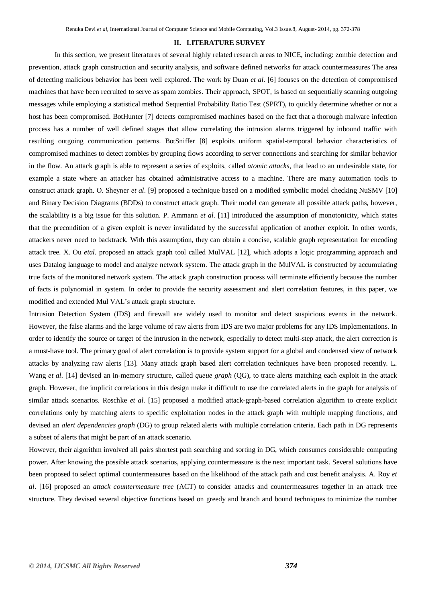## **II. LITERATURE SURVEY**

In this section, we present literatures of several highly related research areas to NICE, including: zombie detection and prevention, attack graph construction and security analysis, and software defined networks for attack countermeasures The area of detecting malicious behavior has been well explored. The work by Duan *et al*. [6] focuses on the detection of compromised machines that have been recruited to serve as spam zombies. Their approach, SPOT, is based on sequentially scanning outgoing messages while employing a statistical method Sequential Probability Ratio Test (SPRT), to quickly determine whether or not a host has been compromised. BotHunter [7] detects compromised machines based on the fact that a thorough malware infection process has a number of well defined stages that allow correlating the intrusion alarms triggered by inbound traffic with resulting outgoing communication patterns. BotSniffer [8] exploits uniform spatial-temporal behavior characteristics of compromised machines to detect zombies by grouping flows according to server connections and searching for similar behavior in the flow. An attack graph is able to represent a series of exploits, called *atomic attacks*, that lead to an undesirable state, for example a state where an attacker has obtained administrative access to a machine. There are many automation tools to construct attack graph. O. Sheyner *et al*. [9] proposed a technique based on a modified symbolic model checking NuSMV [10] and Binary Decision Diagrams (BDDs) to construct attack graph. Their model can generate all possible attack paths, however, the scalability is a big issue for this solution. P. Ammann *et al*. [11] introduced the assumption of monotonicity, which states that the precondition of a given exploit is never invalidated by the successful application of another exploit. In other words, attackers never need to backtrack. With this assumption, they can obtain a concise, scalable graph representation for encoding attack tree. X. Ou *etal.* proposed an attack graph tool called MulVAL [12], which adopts a logic programming approach and uses Datalog language to model and analyze network system. The attack graph in the MulVAL is constructed by accumulating true facts of the monitored network system. The attack graph construction process will terminate efficiently because the number of facts is polynomial in system. In order to provide the security assessment and alert correlation features, in this paper, we modified and extended Mul VAL's attack graph structure.

Intrusion Detection System (IDS) and firewall are widely used to monitor and detect suspicious events in the network. However, the false alarms and the large volume of raw alerts from IDS are two major problems for any IDS implementations. In order to identify the source or target of the intrusion in the network, especially to detect multi-step attack, the alert correction is a must-have tool. The primary goal of alert correlation is to provide system support for a global and condensed view of network attacks by analyzing raw alerts [13]. Many attack graph based alert correlation techniques have been proposed recently. L. Wang *et al*. [14] devised an in-memory structure, called *queue graph* (QG), to trace alerts matching each exploit in the attack graph. However, the implicit correlations in this design make it difficult to use the correlated alerts in the graph for analysis of similar attack scenarios. Roschke *et al*. [15] proposed a modified attack-graph-based correlation algorithm to create explicit correlations only by matching alerts to specific exploitation nodes in the attack graph with multiple mapping functions, and devised an *alert dependencies graph* (DG) to group related alerts with multiple correlation criteria. Each path in DG represents a subset of alerts that might be part of an attack scenario.

However, their algorithm involved all pairs shortest path searching and sorting in DG, which consumes considerable computing power. After knowing the possible attack scenarios, applying countermeasure is the next important task. Several solutions have been proposed to select optimal countermeasures based on the likelihood of the attack path and cost benefit analysis. A. Roy *et al*. [16] proposed an *attack countermeasure tree* (ACT) to consider attacks and countermeasures together in an attack tree structure. They devised several objective functions based on greedy and branch and bound techniques to minimize the number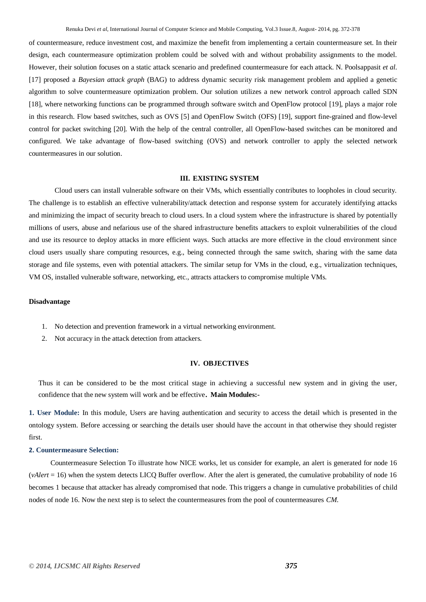of countermeasure, reduce investment cost, and maximize the benefit from implementing a certain countermeasure set. In their design, each countermeasure optimization problem could be solved with and without probability assignments to the model. However, their solution focuses on a static attack scenario and predefined countermeasure for each attack. N. Poolsappasit *et al*. [17] proposed a *Bayesian attack graph* (BAG) to address dynamic security risk management problem and applied a genetic algorithm to solve countermeasure optimization problem. Our solution utilizes a new network control approach called SDN [18], where networking functions can be programmed through software switch and OpenFlow protocol [19], plays a major role in this research. Flow based switches, such as OVS [5] and OpenFlow Switch (OFS) [19], support fine-grained and flow-level control for packet switching [20]. With the help of the central controller, all OpenFlow-based switches can be monitored and configured. We take advantage of flow-based switching (OVS) and network controller to apply the selected network countermeasures in our solution.

#### **III. EXISTING SYSTEM**

Cloud users can install vulnerable software on their VMs, which essentially contributes to loopholes in cloud security. The challenge is to establish an effective vulnerability/attack detection and response system for accurately identifying attacks and minimizing the impact of security breach to cloud users. In a cloud system where the infrastructure is shared by potentially millions of users, abuse and nefarious use of the shared infrastructure benefits attackers to exploit vulnerabilities of the cloud and use its resource to deploy attacks in more efficient ways. Such attacks are more effective in the cloud environment since cloud users usually share computing resources, e.g., being connected through the same switch, sharing with the same data storage and file systems, even with potential attackers. The similar setup for VMs in the cloud, e.g., virtualization techniques, VM OS, installed vulnerable software, networking, etc., attracts attackers to compromise multiple VMs.

## **Disadvantage**

- 1. No detection and prevention framework in a virtual networking environment.
- 2. Not accuracy in the attack detection from attackers.

#### **IV. OBJECTIVES**

Thus it can be considered to be the most critical stage in achieving a successful new system and in giving the user, confidence that the new system will work and be effective. **Main Modules:-**

**1. User Module:** In this module, Users are having authentication and security to access the detail which is presented in the ontology system. Before accessing or searching the details user should have the account in that otherwise they should register first.

#### **2. Countermeasure Selection:**

 Countermeasure Selection To illustrate how NICE works, let us consider for example, an alert is generated for node 16 (*vAlert* = 16) when the system detects LICQ Buffer overflow. After the alert is generated, the cumulative probability of node 16 becomes 1 because that attacker has already compromised that node. This triggers a change in cumulative probabilities of child nodes of node 16. Now the next step is to select the countermeasures from the pool of countermeasures *CM*.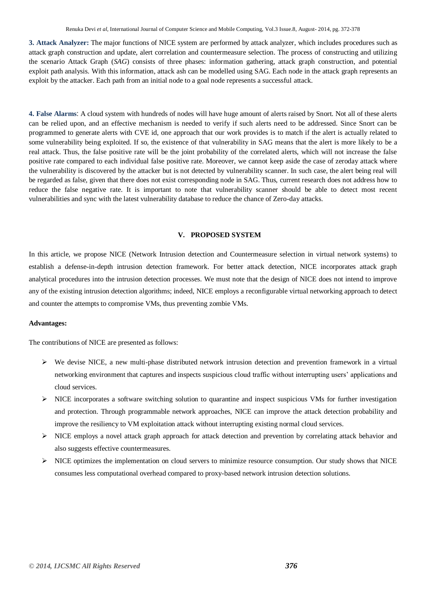Renuka Devi *et al*, International Journal of Computer Science and Mobile Computing, Vol.3 Issue.8, August- 2014, pg. 372-378

**3. Attack Analyzer:** The major functions of NICE system are performed by attack analyzer, which includes procedures such as attack graph construction and update, alert correlation and countermeasure selection. The process of constructing and utilizing the scenario Attack Graph (*SAG*) consists of three phases: information gathering, attack graph construction, and potential exploit path analysis. With this information, attack ash can be modelled using SAG. Each node in the attack graph represents an exploit by the attacker. Each path from an initial node to a goal node represents a successful attack.

**4. False Alarms**: A cloud system with hundreds of nodes will have huge amount of alerts raised by Snort. Not all of these alerts can be relied upon, and an effective mechanism is needed to verify if such alerts need to be addressed. Since Snort can be programmed to generate alerts with CVE id, one approach that our work provides is to match if the alert is actually related to some vulnerability being exploited. If so, the existence of that vulnerability in SAG means that the alert is more likely to be a real attack. Thus, the false positive rate will be the joint probability of the correlated alerts, which will not increase the false positive rate compared to each individual false positive rate. Moreover, we cannot keep aside the case of zeroday attack where the vulnerability is discovered by the attacker but is not detected by vulnerability scanner. In such case, the alert being real will be regarded as false, given that there does not exist corresponding node in SAG. Thus, current research does not address how to reduce the false negative rate. It is important to note that vulnerability scanner should be able to detect most recent vulnerabilities and sync with the latest vulnerability database to reduce the chance of Zero-day attacks.

#### **V. PROPOSED SYSTEM**

In this article, we propose NICE (Network Intrusion detection and Countermeasure selection in virtual network systems) to establish a defense-in-depth intrusion detection framework. For better attack detection, NICE incorporates attack graph analytical procedures into the intrusion detection processes. We must note that the design of NICE does not intend to improve any of the existing intrusion detection algorithms; indeed, NICE employs a reconfigurable virtual networking approach to detect and counter the attempts to compromise VMs, thus preventing zombie VMs.

## **Advantages:**

The contributions of NICE are presented as follows:

- $\triangleright$  We devise NICE, a new multi-phase distributed network intrusion detection and prevention framework in a virtual networking environment that captures and inspects suspicious cloud traffic without interrupting users' applications and cloud services.
- $\triangleright$  NICE incorporates a software switching solution to quarantine and inspect suspicious VMs for further investigation and protection. Through programmable network approaches, NICE can improve the attack detection probability and improve the resiliency to VM exploitation attack without interrupting existing normal cloud services.
- $\triangleright$  NICE employs a novel attack graph approach for attack detection and prevention by correlating attack behavior and also suggests effective countermeasures.
- Interest in the implementation on cloud servers to minimize resource consumption. Our study shows that NICE consumes less computational overhead compared to proxy-based network intrusion detection solutions.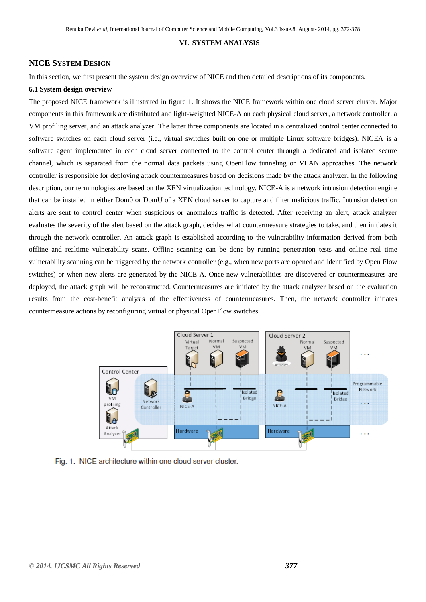## **VI. SYSTEM ANALYSIS**

#### **NICE SYSTEM DESIGN**

In this section, we first present the system design overview of NICE and then detailed descriptions of its components.

#### **6.1 System design overview**

The proposed NICE framework is illustrated in figure 1. It shows the NICE framework within one cloud server cluster. Major components in this framework are distributed and light-weighted NICE-A on each physical cloud server, a network controller, a VM profiling server, and an attack analyzer. The latter three components are located in a centralized control center connected to software switches on each cloud server (i.e., virtual switches built on one or multiple Linux software bridges). NICEA is a software agent implemented in each cloud server connected to the control center through a dedicated and isolated secure channel, which is separated from the normal data packets using OpenFlow tunneling or VLAN approaches. The network controller is responsible for deploying attack countermeasures based on decisions made by the attack analyzer. In the following description, our terminologies are based on the XEN virtualization technology. NICE-A is a network intrusion detection engine that can be installed in either Dom0 or DomU of a XEN cloud server to capture and filter malicious traffic. Intrusion detection alerts are sent to control center when suspicious or anomalous traffic is detected. After receiving an alert, attack analyzer evaluates the severity of the alert based on the attack graph, decides what countermeasure strategies to take, and then initiates it through the network controller. An attack graph is established according to the vulnerability information derived from both offline and realtime vulnerability scans. Offline scanning can be done by running penetration tests and online real time vulnerability scanning can be triggered by the network controller (e.g., when new ports are opened and identified by Open Flow switches) or when new alerts are generated by the NICE-A. Once new vulnerabilities are discovered or countermeasures are deployed, the attack graph will be reconstructed. Countermeasures are initiated by the attack analyzer based on the evaluation results from the cost-benefit analysis of the effectiveness of countermeasures. Then, the network controller initiates countermeasure actions by reconfiguring virtual or physical OpenFlow switches.



Fig. 1. NICE architecture within one cloud server cluster.